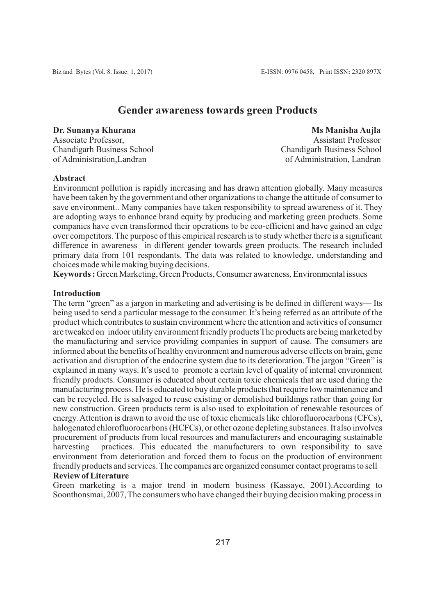# **Gender awareness towards green Products**

**Dr. Sunanya Khurana Mshana Mshana Mshana Mshana Mshana Mshana Mshana Mshana Mshana Mshana Mshana Mshana Mshana** Associate Professor, Assistant Professor Chandigarh Business School Chandigarh Business School Chandigarh Business School of Administration. Landran

of Administration, Landran

#### **Abstract**

Environment pollution is rapidly increasing and has drawn attention globally. Many measures have been taken by the government and other organizations to change the attitude of consumer to save environment.. Many companies have taken responsibility to spread awareness of it. They are adopting ways to enhance brand equity by producing and marketing green products. Some companies have even transformed their operations to be eco-efficient and have gained an edge over competitors. The purpose of this empirical research is to study whether there is a significant difference in awareness in different gender towards green products. The research included primary data from 101 respondants. The data was related to knowledge, understanding and choices made while making buying decisions.

**Keywords :** Green Marketing, Green Products, Consumer awareness, Environmental issues

## **Introduction**

The term "green" as a jargon in marketing and advertising is be defined in different ways— Its being used to send a particular message to the consumer. It's being referred as an attribute of the product which contributes to sustain environment where the attention and activities of consumer are tweaked on indoor utility environment friendly products The products are being marketed by the manufacturing and service providing companies in support of cause. The consumers are informed about the benefits of healthy environment and numerous adverse effects on brain, gene activation and disruption of the endocrine system due to its deterioration. The jargon "Green" is explained in many ways. It's used to promote a certain level of quality of internal environment friendly products. Consumer is educated about certain toxic chemicals that are used during the manufacturing process. He is educated to buy durable products that require low maintenance and can be recycled. He is salvaged to reuse existing or demolished buildings rather than going for new construction. Green products term is also used to exploitation of renewable resources of energy. Attention is drawn to avoid the use of toxic chemicals like chlorofluorocarbons (CFCs), halogenated chlorofluorocarbons (HCFCs), or other ozone depleting substances. It also involves procurement of products from local resources and manufacturers and encouraging sustainable harvesting practices. This educated the manufacturers to own responsibility to save environment from deterioration and forced them to focus on the production of environment friendly products and services. The companies are organized consumer contact programs to sell **Review of Literature**

Green marketing is a major trend in modern business (Kassaye, 2001).According to Soonthonsmai, 2007, The consumers who have changed their buying decision making process in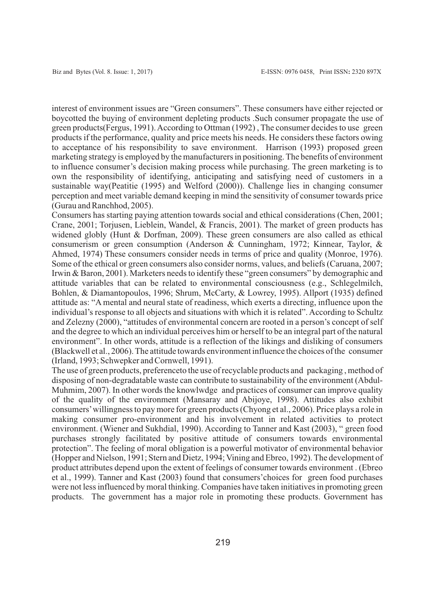interest of environment issues are "Green consumers". These consumers have either rejected or boycotted the buying of environment depleting products .Such consumer propagate the use of green products(Fergus, 1991). According to Ottman (1992) , The consumer decides to use green products if the performance, quality and price meets his needs. He considers these factors owing to acceptance of his responsibility to save environment. Harrison (1993) proposed green marketing strategy is employed by the manufacturers in positioning. The benefits of environment to influence consumer's decision making process while purchasing. The green marketing is to own the responsibility of identifying, anticipating and satisfying need of customers in a sustainable way(Peatitie (1995) and Welford (2000)). Challenge lies in changing consumer perception and meet variable demand keeping in mind the sensitivity of consumer towards price (Gurau and Ranchhod, 2005).

Consumers has starting paying attention towards social and ethical considerations (Chen, 2001; Crane, 2001; Torjusen, Lieblein, Wandel, & Francis, 2001). The market of green products has widened globly (Hunt & Dorfman, 2009). These green consumers are also called as ethical consumerism or green consumption (Anderson & Cunningham, 1972; Kinnear, Taylor, & Ahmed, 1974) These consumers consider needs in terms of price and quality (Monroe, 1976). Some of the ethical or green consumers also consider norms, values, and beliefs (Caruana, 2007; Irwin & Baron, 2001). Marketers needs to identify these "green consumers" by demographic and attitude variables that can be related to environmental consciousness (e.g., Schlegelmilch, Bohlen, & Diamantopoulos, 1996; Shrum, McCarty, & Lowrey, 1995). Allport (1935) defined attitude as: "A mental and neural state of readiness, which exerts a directing, influence upon the individual's response to all objects and situations with which it is related". According to Schultz and Zelezny (2000), "attitudes of environmental concern are rooted in a person's concept of self and the degree to which an individual perceives him or herself to be an integral part of the natural environment". In other words, attitude is a reflection of the likings and disliking of consumers (Blackwell et al., 2006). The attitude towards environment influence the choices of the consumer (Irland, 1993; Schwepker and Cornwell, 1991).

The use of green products, preferenceto the use of recyclable products and packaging , method of disposing of non-degradatable waste can contribute to sustainability of the environment (Abdul-Muhmim, 2007). In other words the knowlwdge and practices of consumer can improve quality of the quality of the environment (Mansaray and Abijoye, 1998). Attitudes also exhibit consumers'willingness to pay more for green products (Chyong et al., 2006). Price plays a role in making consumer pro-environment and his involvement in related activities to protect environment. (Wiener and Sukhdial, 1990). According to Tanner and Kast (2003), " green food purchases strongly facilitated by positive attitude of consumers towards environmental protection". The feeling of moral obligation is a powerful motivator of environmental behavior (Hopper and Nielson, 1991; Stern and Dietz, 1994; Vining and Ebreo, 1992). The development of product attributes depend upon the extent of feelings of consumer towards environment . (Ebreo et al., 1999). Tanner and Kast (2003) found that consumers'choices for green food purchases were not less influenced by moral thinking. Companies have taken initiatives in promoting green products. The government has a major role in promoting these products. Government has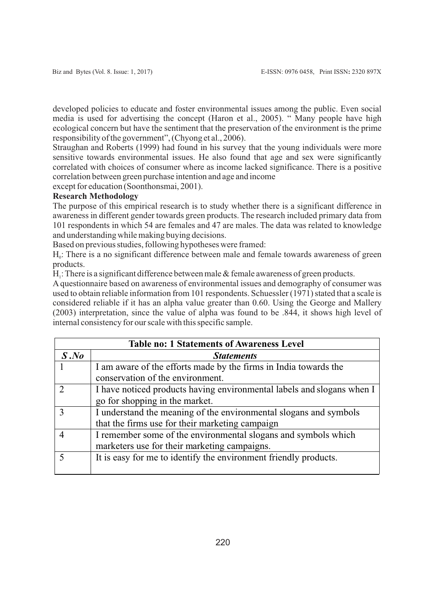developed policies to educate and foster environmental issues among the public. Even social media is used for advertising the concept (Haron et al., 2005). " Many people have high ecological concern but have the sentiment that the preservation of the environment is the prime responsibility of the government", (Chyong et al., 2006).

Straughan and Roberts (1999) had found in his survey that the young individuals were more sensitive towards environmental issues. He also found that age and sex were significantly correlated with choices of consumer where as income lacked significance. There is a positive correlation between green purchase intention and age and income

except for education (Soonthonsmai, 2001).

## **Research Methodology**

The purpose of this empirical research is to study whether there is a significant difference in awareness in different gender towards green products. The research included primary data from 101 respondents in which 54 are females and 47 are males. The data was related to knowledge and understanding while making buying decisions.

Based on previous studies, following hypotheses were framed:

 $H<sub>o</sub>$ : There is a no significant difference between male and female towards awareness of green products.

 $H_1$ : There is a significant difference between male  $&$  female awareness of green products.

Aquestionnaire based on awareness of environmental issues and demography of consumer was used to obtain reliable information from 101 respondents. Schuessler (1971) stated that a scale is considered reliable if it has an alpha value greater than 0.60. Using the George and Mallery (2003) interpretation, since the value of alpha was found to be .844, it shows high level of internal consistency for our scale with this specific sample.

| <b>Table no: 1 Statements of Awareness Level</b> |                                                                        |  |  |  |  |  |  |  |
|--------------------------------------------------|------------------------------------------------------------------------|--|--|--|--|--|--|--|
| S.No                                             | <b>Statements</b>                                                      |  |  |  |  |  |  |  |
|                                                  | I am aware of the efforts made by the firms in India towards the       |  |  |  |  |  |  |  |
|                                                  | conservation of the environment.                                       |  |  |  |  |  |  |  |
|                                                  | I have noticed products having environmental labels and slogans when I |  |  |  |  |  |  |  |
|                                                  | go for shopping in the market.                                         |  |  |  |  |  |  |  |
|                                                  | I understand the meaning of the environmental slogans and symbols      |  |  |  |  |  |  |  |
|                                                  | that the firms use for their marketing campaign                        |  |  |  |  |  |  |  |
|                                                  | I remember some of the environmental slogans and symbols which         |  |  |  |  |  |  |  |
|                                                  | marketers use for their marketing campaigns.                           |  |  |  |  |  |  |  |
|                                                  | It is easy for me to identify the environment friendly products.       |  |  |  |  |  |  |  |
|                                                  |                                                                        |  |  |  |  |  |  |  |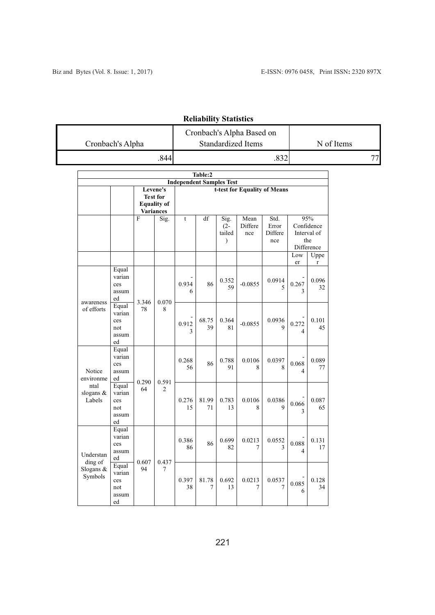| Cronbach's Alpha | Cronbach's Alpha Based on<br><b>Standardized Items</b> | N of Items |
|------------------|--------------------------------------------------------|------------|
|                  |                                                        |            |

# **Reliability Statistics**

| Table:2                                            |                                              |                                                                |                         |                                 |             |                                           |                        |                                 |                                                       |             |  |  |  |
|----------------------------------------------------|----------------------------------------------|----------------------------------------------------------------|-------------------------|---------------------------------|-------------|-------------------------------------------|------------------------|---------------------------------|-------------------------------------------------------|-------------|--|--|--|
|                                                    |                                              |                                                                |                         | <b>Independent Samples Test</b> |             |                                           |                        |                                 |                                                       |             |  |  |  |
|                                                    |                                              | Levene's<br><b>Test for</b><br><b>Equality of</b><br>Variances |                         | t-test for Equality of Means    |             |                                           |                        |                                 |                                                       |             |  |  |  |
|                                                    |                                              | F                                                              | Sig.                    | $\mathbf t$                     | df          | Sig.<br>$(2 -$<br>tailed<br>$\mathcal{E}$ | Mean<br>Differe<br>nce | Std.<br>Error<br>Differe<br>nce | 95%<br>Confidence<br>Interval of<br>the<br>Difference |             |  |  |  |
|                                                    |                                              |                                                                |                         |                                 |             |                                           |                        |                                 | Low<br>er                                             | Uppe<br>r   |  |  |  |
| awareness<br>of efforts                            | Equal<br>varian<br>ces<br>assum<br>ed        | 3.346<br>78                                                    | 0.070<br>8              | 0.934<br>6                      | 86          | 0.352<br>59                               | $-0.0855$              | 0.0914<br>5                     | 0.267<br>$\mathcal{E}$                                | 0.096<br>32 |  |  |  |
|                                                    | Equal<br>varian<br>ces<br>not<br>assum<br>ed |                                                                |                         | 0.912<br>3                      | 68.75<br>39 | 0.364<br>81                               | $-0.0855$              | 0.0936<br>9                     | 0.272<br>$\overline{\mathcal{L}}$                     | 0.101<br>45 |  |  |  |
| Notice<br>environme<br>ntal<br>slogans &<br>Labels | Equal<br>varian<br>ces<br>assum<br>ed        | 0.290<br>64                                                    | 0.591<br>$\overline{2}$ | 0.268<br>56                     | 86          | 0.788<br>91                               | 0.0106<br>8            | 0.0397<br>8                     | 0.068<br>$\overline{4}$                               | 0.089<br>77 |  |  |  |
|                                                    | Equal<br>varian<br>ces<br>not<br>assum<br>ed |                                                                |                         | 0.276<br>15                     | 81.99<br>71 | 0.783<br>13                               | 0.0106<br>8            | 0.0386<br>9                     | 0.066<br>3                                            | 0.087<br>65 |  |  |  |
| Understan<br>ding of<br>Slogans &<br>Symbols       | Equal<br>varian<br>ces<br>assum<br>ed        | 0.607<br>0.437<br>94<br>7                                      |                         | 0.386<br>86                     | 86          | 0.699<br>82                               | 0.0213<br>7            | 0.0552<br>3                     | 0.088<br>$\overline{\mathcal{L}}$                     | 0.131<br>17 |  |  |  |
|                                                    | Equal<br>varian<br>ces<br>not<br>assum<br>ed |                                                                |                         | 0.397<br>38                     | 81.78<br>7  | 0.692<br>13                               | 0.0213<br>7            | 0.0537<br>7                     | 0.085<br>6                                            | 0.128<br>34 |  |  |  |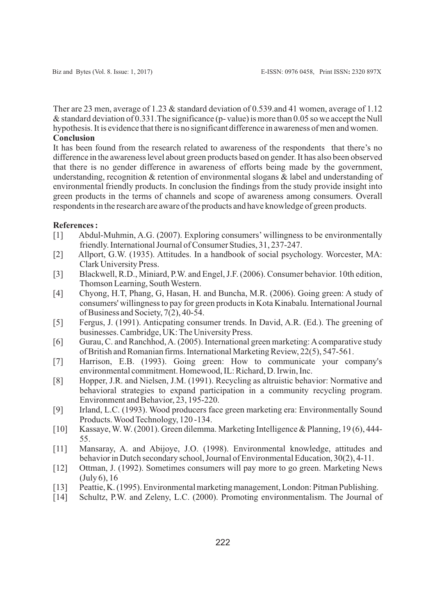Ther are 23 men, average of 1.23 & standard deviation of 0.539.and 41 women, average of 1.12 & standard deviation of 0.331.The significance (p- value) is more than 0.05 so we accept the Null hypothesis. It is evidence that there is no significant difference in awareness of men and women. **Conclusion**

It has been found from the research related to awareness of the respondents that there's no difference in the awareness level about green products based on gender. It has also been observed that there is no gender difference in awareness of efforts being made by the government, understanding, recognition & retention of environmental slogans & label and understanding of environmental friendly products. In conclusion the findings from the study provide insight into green products in the terms of channels and scope of awareness among consumers. Overall respondents in the research are aware of the products and have knowledge of green products.

#### **References :**

- [1] Abdul-Muhmin, A.G. (2007). Exploring consumers' willingness to be environmentally friendly. International Journal of Consumer Studies, 31, 237-247.
- [2] Allport, G.W. (1935). Attitudes. In a handbook of social psychology. Worcester, MA: Clark University Press.
- [3] Blackwell, R.D., Miniard, P.W. and Engel, J.F. (2006). Consumer behavior. 10th edition, Thomson Learning, South Western.
- [4] Chyong, H.T, Phang, G, Hasan, H. and Buncha, M.R. (2006). Going green: A study of consumers' willingness to pay for green products in Kota Kinabalu. International Journal of Business and Society, 7(2), 40-54.
- [5] Fergus, J. (1991). Anticpating consumer trends. In David, A.R. (Ed.). The greening of businesses. Cambridge, UK: The University Press.
- [6] Gurau, C. and Ranchhod, A. (2005). International green marketing: Acomparative study of British and Romanian firms. International Marketing Review, 22(5), 547-561.
- [7] Harrison, E.B. (1993). Going green: How to communicate your company's environmental commitment. Homewood, IL: Richard, D. Irwin, Inc.
- [8] Hopper, J.R. and Nielsen, J.M. (1991). Recycling as altruistic behavior: Normative and behavioral strategies to expand participation in a community recycling program. Environment and Behavior, 23, 195-220.
- [9] Irland, L.C. (1993). Wood producers face green marketing era: Environmentally Sound Products. Wood Technology, 120 -134.
- [10] Kassaye, W. W. (2001). Green dilemma. Marketing Intelligence & Planning, 19 (6), 444- 55.
- [11] Mansaray, A. and Abijoye, J.O. (1998). Environmental knowledge, attitudes and behavior in Dutch secondary school, Journal of Environmental Education, 30(2), 4-11.
- [12] Ottman, J. (1992). Sometimes consumers will pay more to go green. Marketing News (July 6), 16
- [13] Peattie, K. (1995). Environmental marketing management, London: Pitman Publishing.
- [14] Schultz, P.W. and Zeleny, L.C. (2000). Promoting environmentalism. The Journal of